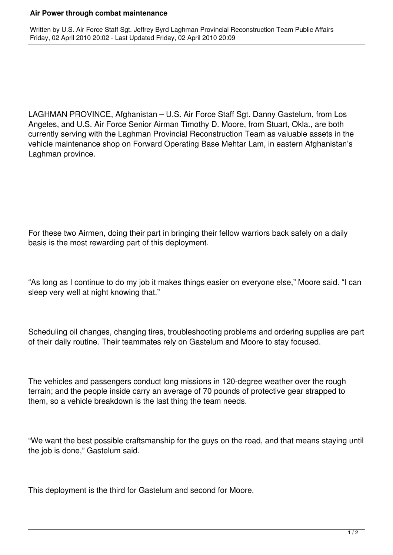## **Air Power through combat maintenance**

Written by U.S. Air Force Staff Sgt. Jeffrey Byrd Laghman Provincial Reconstruction Team Public Affairs Friday, 02 April 2010 20:02 - Last Updated Friday, 02 April 2010 20:09

LAGHMAN PROVINCE, Afghanistan – U.S. Air Force Staff Sgt. Danny Gastelum, from Los Angeles, and U.S. Air Force Senior Airman Timothy D. Moore, from Stuart, Okla., are both currently serving with the Laghman Provincial Reconstruction Team as valuable assets in the vehicle maintenance shop on Forward Operating Base Mehtar Lam, in eastern Afghanistan's Laghman province.

For these two Airmen, doing their part in bringing their fellow warriors back safely on a daily basis is the most rewarding part of this deployment.

"As long as I continue to do my job it makes things easier on everyone else," Moore said. "I can sleep very well at night knowing that."

Scheduling oil changes, changing tires, troubleshooting problems and ordering supplies are part of their daily routine. Their teammates rely on Gastelum and Moore to stay focused.

The vehicles and passengers conduct long missions in 120-degree weather over the rough terrain; and the people inside carry an average of 70 pounds of protective gear strapped to them, so a vehicle breakdown is the last thing the team needs.

"We want the best possible craftsmanship for the guys on the road, and that means staying until the job is done," Gastelum said.

This deployment is the third for Gastelum and second for Moore.